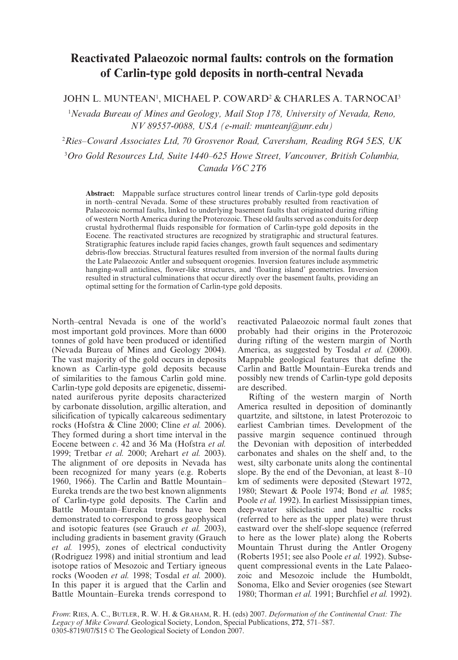# **Reactivated Palaeozoic normal faults: controls on the formation of Carlin-type gold deposits in north-central Nevada**

JOHN L. MUNTEAN', MICHAEL P. COWARD<sup>2</sup> & CHARLES A. TARNOCAI<sup>3</sup>

1 *Nevada Bureau of Mines and Geology, Mail Stop 178, University of Nevada, Reno, NV 89557-0088, USA (e-mail: munteanj@unr.edu)*

2 *Ries–Coward Associates Ltd, 70 Grosvenor Road, Caversham, Reading RG4 5ES, UK*

3 *Oro Gold Resources Ltd, Suite 1440–625 Howe Street, Vancouver, British Columbia, Canada V6C 2T6*

**Abstract:** Mappable surface structures control linear trends of Carlin-type gold deposits in north–central Nevada. Some of these structures probably resulted from reactivation of Palaeozoic normal faults, linked to underlying basement faults that originated during rifting of western North America during the Proterozoic. These old faults served as conduits for deep crustal hydrothermal fluids responsible for formation of Carlin-type gold deposits in the Eocene. The reactivated structures are recognized by stratigraphic and structural features. Stratigraphic features include rapid facies changes, growth fault sequences and sedimentary debris-flow breccias. Structural features resulted from inversion of the normal faults during the Late Palaeozoic Antler and subsequent orogenies. Inversion features include asymmetric hanging-wall anticlines, flower-like structures, and 'floating island' geometries. Inversion resulted in structural culminations that occur directly over the basement faults, providing an optimal setting for the formation of Carlin-type gold deposits.

North–central Nevada is one of the world's most important gold provinces. More than 6000 tonnes of gold have been produced or identified (Nevada Bureau of Mines and Geology 2004). The vast majority of the gold occurs in deposits known as Carlin-type gold deposits because of similarities to the famous Carlin gold mine. Carlin-type gold deposits are epigenetic, disseminated auriferous pyrite deposits characterized by carbonate dissolution, argillic alteration, and silicification of typically calcareous sedimentary rocks (Hofstra & Cline 2000; Cline *et al.* 2006). They formed during a short time interval in the Eocene between *c*. 42 and 36 Ma (Hofstra *et al.* 1999; Tretbar *et al.* 2000; Arehart *et al.* 2003). The alignment of ore deposits in Nevada has been recognized for many years (e.g. Roberts 1960, 1966). The Carlin and Battle Mountain– Eureka trends are the two best known alignments of Carlin-type gold deposits. The Carlin and Battle Mountain–Eureka trends have been demonstrated to correspond to gross geophysical and isotopic features (see Grauch *et al.* 2003), including gradients in basement gravity (Grauch *et al.* 1995), zones of electrical conductivity (Rodriguez 1998) and initial strontium and lead isotope ratios of Mesozoic and Tertiary igneous rocks (Wooden *et al.* 1998; Tosdal *et al.* 2000). In this paper it is argued that the Carlin and Battle Mountain–Eureka trends correspond to

reactivated Palaeozoic normal fault zones that probably had their origins in the Proterozoic during rifting of the western margin of North America, as suggested by Tosdal et al. (2000). Mappable geological features that define the Carlin and Battle Mountain–Eureka trends and possibly new trends of Carlin-type gold deposits are described.

Rifting of the western margin of North America resulted in deposition of dominantly quartzite, and siltstone, in latest Proterozoic to earliest Cambrian times. Development of the passive margin sequence continued through the Devonian with deposition of interbedded carbonates and shales on the shelf and, to the west, silty carbonate units along the continental slope. By the end of the Devonian, at least 8–10 km of sediments were deposited (Stewart 1972, 1980; Stewart & Poole 1974; Bond *et al.* 1985; Poole *et al.* 1992). In earliest Mississippian times, deep-water siliciclastic and basaltic rocks (referred to here as the upper plate) were thrust eastward over the shelf-slope sequence (referred to here as the lower plate) along the Roberts Mountain Thrust during the Antler Orogeny (Roberts 1951; see also Poole *et al.* 1992). Subsequent compressional events in the Late Palaeozoic and Mesozoic include the Humboldt, Sonoma, Elko and Sevier orogenies (see Stewart 1980; Thorman *et al.* 1991; Burchfiel *et al.* 1992).

*From*: RIES, A. C., BUTLER, R. W. H. & GRAHAM, R. H. (eds) 2007. *Deformation of the Continental Crust: The Legacy of Mike Coward*. Geological Society, London, Special Publications, **272**, 571–587. 0305-8719/07/\$15 © The Geological Society of London 2007.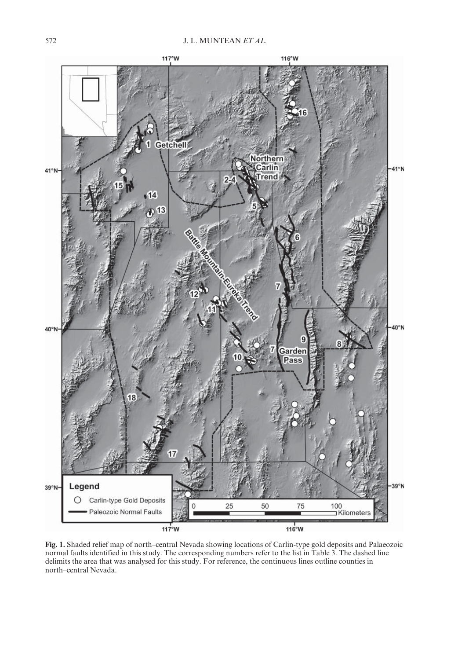

**Fig. 1.** Shaded relief map of north–central Nevada showing locations of Carlin-type gold deposits and Palaeozoic normal faults identified in this study. The corresponding numbers refer to the list in Table 3. The dashed line delimits the area that was analysed for this study. For reference, the continuous lines outline counties in north–central Nevada.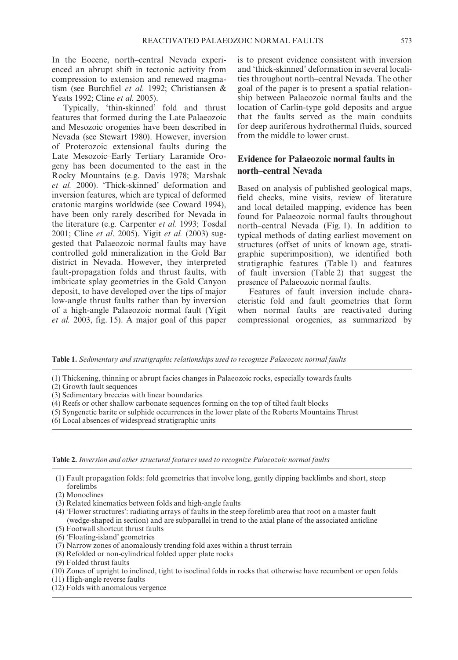In the Eocene, north–central Nevada experienced an abrupt shift in tectonic activity from compression to extension and renewed magmatism (see Burchfiel *et al.* 1992; Christiansen & Yeats 1992; Cline *et al.* 2005).

Typically, 'thin-skinned' fold and thrust features that formed during the Late Palaeozoic and Mesozoic orogenies have been described in Nevada (see Stewart 1980). However, inversion of Proterozoic extensional faults during the Late Mesozoic–Early Tertiary Laramide Orogeny has been documented to the east in the Rocky Mountains (e.g. Davis 1978; Marshak *et al.* 2000). 'Thick-skinned' deformation and inversion features, which are typical of deformed cratonic margins worldwide (see Coward 1994), have been only rarely described for Nevada in the literature (e.g. Carpenter *et al.* 1993; Tosdal 2001; Cline *et al*. 2005). Yigit *et al.* (2003) suggested that Palaeozoic normal faults may have controlled gold mineralization in the Gold Bar district in Nevada. However, they interpreted fault-propagation folds and thrust faults, with imbricate splay geometries in the Gold Canyon deposit, to have developed over the tips of major low-angle thrust faults rather than by inversion of a high-angle Palaeozoic normal fault (Yigit *et al.* 2003, fig. 15). A major goal of this paper is to present evidence consistent with inversion and 'thick-skinned' deformation in several localities throughout north–central Nevada. The other goal of the paper is to present a spatial relationship between Palaeozoic normal faults and the location of Carlin-type gold deposits and argue that the faults served as the main conduits for deep auriferous hydrothermal fluids, sourced from the middle to lower crust.

## **Evidence for Palaeozoic normal faults in north–central Nevada**

Based on analysis of published geological maps, field checks, mine visits, review of literature and local detailed mapping, evidence has been found for Palaeozoic normal faults throughout north–central Nevada (Fig. 1). In addition to typical methods of dating earliest movement on structures (offset of units of known age, stratigraphic superimposition), we identified both stratigraphic features (Table 1) and features of fault inversion (Table 2) that suggest the presence of Palaeozoic normal faults.

Features of fault inversion include characteristic fold and fault geometries that form when normal faults are reactivated during compressional orogenies, as summarized by

**Table 1.** *Sedimentary and stratigraphic relationships used to recognize Palaeozoic normal faults*

- (1) Thickening, thinning or abrupt facies changes in Palaeozoic rocks, especially towards faults
- (2) Growth fault sequences
- (3) Sedimentary breccias with linear boundaries
- (4) Reefs or other shallow carbonate sequences forming on the top of tilted fault blocks
- (5) Syngenetic barite or sulphide occurrences in the lower plate of the Roberts Mountains Thrust
- (6) Local absences of widespread stratigraphic units

**Table 2.** *Inversion and other structural features used to recognize Palaeozoic normal faults*

- (1) Fault propagation folds: fold geometries that involve long, gently dipping backlimbs and short, steep forelimbs
- (2) Monoclines
- (3) Related kinematics between folds and high-angle faults
- (4) 'Flower structures': radiating arrays of faults in the steep forelimb area that root on a master fault (wedge-shaped in section) and are subparallel in trend to the axial plane of the associated anticline (5) Footwall shortcut thrust faults
- (6) 'Floating-island' geometries
- (7) Narrow zones of anomalously trending fold axes within a thrust terrain
- (8) Refolded or non-cylindrical folded upper plate rocks
- (9) Folded thrust faults
- (10) Zones of upright to inclined, tight to isoclinal folds in rocks that otherwise have recumbent or open folds
- (11) High-angle reverse faults
- (12) Folds with anomalous vergence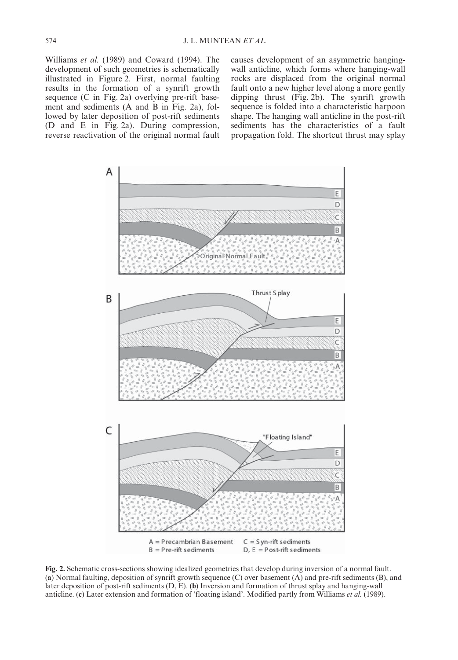Williams *et al.* (1989) and Coward (1994). The development of such geometries is schematically illustrated in Figure 2. First, normal faulting results in the formation of a synrift growth sequence (C in Fig. 2a) overlying pre-rift basement and sediments (A and B in Fig. 2a), followed by later deposition of post-rift sediments (D and E in Fig. 2a). During compression, reverse reactivation of the original normal fault causes development of an asymmetric hangingwall anticline, which forms where hanging-wall rocks are displaced from the original normal fault onto a new higher level along a more gently dipping thrust (Fig. 2b). The synrift growth sequence is folded into a characteristic harpoon shape. The hanging wall anticline in the post-rift sediments has the characteristics of a fault propagation fold. The shortcut thrust may splay



**Fig. 2.** Schematic cross-sections showing idealized geometries that develop during inversion of a normal fault. (**a**) Normal faulting, deposition of synrift growth sequence (C) over basement (A) and pre-rift sediments (B), and later deposition of post-rift sediments (D, E). (**b**) Inversion and formation of thrust splay and hanging-wall anticline. (**c**) Later extension and formation of 'floating island'. Modified partly from Williams *et al.* (1989).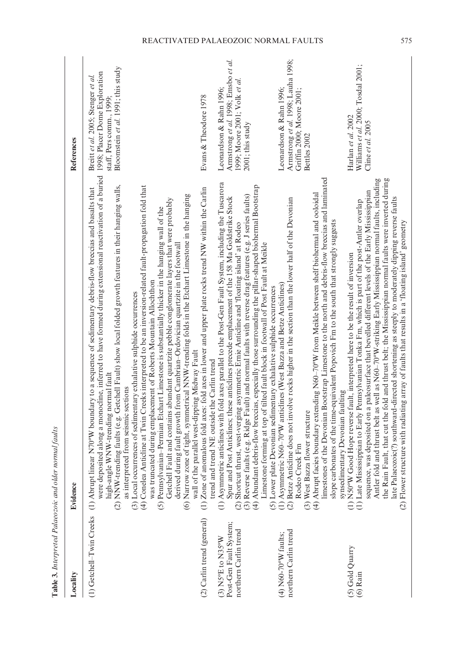|                                                                        | Table 3. Interpreted Palaeozoic and older normal faults                                                                                                                                                                                                                                                                                                                                                                                                                                                                                                                                                                                                                                                                                                                                                                                                                                                                                                                                                                                                                                                        |                                                                                                                                       |
|------------------------------------------------------------------------|----------------------------------------------------------------------------------------------------------------------------------------------------------------------------------------------------------------------------------------------------------------------------------------------------------------------------------------------------------------------------------------------------------------------------------------------------------------------------------------------------------------------------------------------------------------------------------------------------------------------------------------------------------------------------------------------------------------------------------------------------------------------------------------------------------------------------------------------------------------------------------------------------------------------------------------------------------------------------------------------------------------------------------------------------------------------------------------------------------------|---------------------------------------------------------------------------------------------------------------------------------------|
| Locality                                                               | Evidence                                                                                                                                                                                                                                                                                                                                                                                                                                                                                                                                                                                                                                                                                                                                                                                                                                                                                                                                                                                                                                                                                                       | References                                                                                                                            |
| (1) Getchell-Twin Creeks                                               | were deposited along a monocline, inferred to have formed during extensional reactivation of a buried<br>(4) Conelea Anticline at Twin Creeks interpreted to be an inversion-related fault-propagation fold that<br>(2) NNW-trending faults (e.g. Getchell Fault) show local folded growth features in their hanging walls,<br>linear N70°W boundary to a sequence of sedimentary debris-flow breccias and basalts that<br>zone of tight, symmetrical NNW-trending folds in the Etchart Limestone in the hanging<br>Getchell Fault and contains abundant quartzite pebble conglomerate layers that were probably<br>(5) Pennsylvanian-Permian Etchart Limestone is substantially thicker in the hanging wall of the<br>derived during fault growth from Cambrian-Ordovician quartzite in the footwall<br>was truncated during emplacement of Roberts Mountain Allochthon<br>(3) Local occurrences of sedimentary exhalative sulphide occurrences<br>wall of the parallel west-dipping Midway Fault<br>high-angle WNW-trending normal fault<br>as interpreted from seismic sections<br>(6) Narrow<br>(1) Abrupt | Bloomstein et al. 1991; this study<br>1998; Placer Dome Exploration<br>Breitt et al. 2005; Stenger et al.<br>staff, Pers comm., 1999; |
| (2) Carlin trend (general)                                             | anomalous fold axes: fold axes in lower and upper plate rocks trend NW within the Carlin<br>trend and trend NE outside the Carlin trend<br>$(1)$ Zone of                                                                                                                                                                                                                                                                                                                                                                                                                                                                                                                                                                                                                                                                                                                                                                                                                                                                                                                                                       | Evans & Theodore 1978                                                                                                                 |
| Post-Gen Fault System;<br>northern Carlin trend<br>$(3)$ NS°E to N35°W | (1) Asymmetric anticlines with fold axes parallel to the Post-Gen Fault System, including the Tuscarora<br>(4) Abundant debris-flow breccias, especially those surrounding the pillar-shaped biohermal Bootstrap<br>(3) Reverse faults (e.g. Ridge Fault) and normal faults with reverse drag features (e.g. J series faults)<br>Spur and Post Anticlines; these anticlines precede emplacement of the 158 Ma Goldstrike Stock<br>(2) Shortcut thrust, west-verging asymmetric Ernie Anticline and 'floating island' at Rodeo<br>Limestone forming at top of tilted fault block in footwall of Post Fault at Meikle<br>(5) Lower plate Devonian sedimentary exhalative sulphide occurrences                                                                                                                                                                                                                                                                                                                                                                                                                    | Armstrong et al. 1998; Emsbo et al.<br>1999; Moore 2001; Volk et al.<br>Leonardson & Rahn 1996:<br>2001; this study                   |
| northern Carlin trend<br>$(4)$ N60-70°W faults;                        | limestones of the Devonian Bootstrap Limestone to the north and debris-flow breccias and laminated<br>(4) Abrupt facies boundary extending N60-70°W from Meikle between shelf biohermal and ooloidal<br>(2) Betze Anticline does not involve rocks higher in the section than the lower half of the Devonian<br>slope carbonates of the time-equivalent Popovich Fm to the south that strongly suggests<br>(1) Asymmetric N60-70°W anticlines (West Bazza and Betze Anticlines)<br>(3) West Bazza flower structure<br>Rodeo Creek Fm                                                                                                                                                                                                                                                                                                                                                                                                                                                                                                                                                                           | Armstrong et al. 1998; Lauha 1998;<br>Leonardson & Rahn 1996;<br>Griffin 2000; Moore 2001;<br>Bettles 2002                            |
| (5) Gold Quarry<br>$(6)$ Rain                                          | the Rain Fault, that cut the fold and thrust belt; the Mississippian normal faults were inverted during<br>Antler fold and thrust belt as well as N60-70°W-striking Early Mississippian normal faults, including<br>sequence, was deposited on a paleosurface that bevelled different levels of the Early Mississippian<br>late Palaeozoic(?) southward-directed shortening as steeply to moderately dipping reverse faults<br>(1) Late Mississippian to Early Pennsylvanian Tonka Fm, which is part of the post-Antler overlap<br>structure with radiating array of faults that results in a 'floating island' geometry<br>(1) N50°W Good Hope reverse fault, interpreted here to be the result of inversion<br>synsedimentary Devonian faulting<br>(2) Flower                                                                                                                                                                                                                                                                                                                                                | Williams et al. 2000; Tosdal 2001;<br>Harlan et al. 2002<br>Cline et al. 2005                                                         |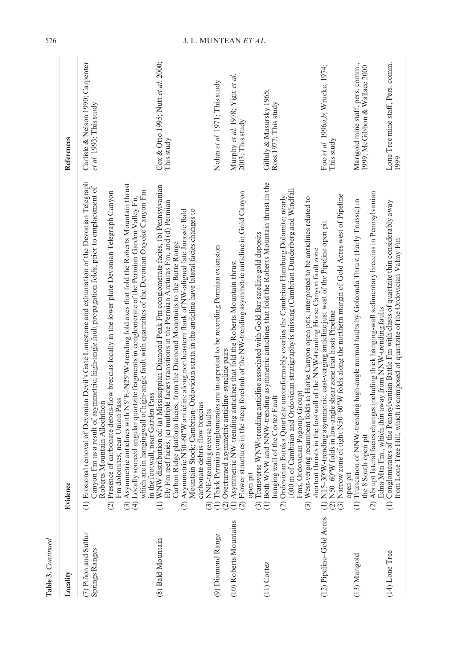| <b>Table 3.</b> Continued              |                                                                                                                                                                                                                                                                                                                                                                                                                                                                                                                                                                                                                                                                                                               |                                                                     |
|----------------------------------------|---------------------------------------------------------------------------------------------------------------------------------------------------------------------------------------------------------------------------------------------------------------------------------------------------------------------------------------------------------------------------------------------------------------------------------------------------------------------------------------------------------------------------------------------------------------------------------------------------------------------------------------------------------------------------------------------------------------|---------------------------------------------------------------------|
| Locality                               | Evidence                                                                                                                                                                                                                                                                                                                                                                                                                                                                                                                                                                                                                                                                                                      | References                                                          |
| (7) Piñon and Sulfur<br>Springs Ranges | al removal of Devonian Devil's Gate Limestone and exhumation of the Devonian Telegraph<br>(3) Asymmetric anticlines with NS°E-N2S°W-trending fold axes that fold the Roberts Mountain thrust<br>Canyon Fm as a result of asymmetric, high-angle fault propagation folds, prior to emplacement of<br>which are in hangingwall of high-angle fault with quartzites of the Devonian Oxyoke Canyon Fm<br>Presence of carbonate debris-flow breccias locally in the lower plate Devonian Telegraph Canyon<br>sourced angular quartzite fragments in conglomerate of the Permian Garden Valley Fn,<br>Fm dolomites, near Union Pass<br>Roberts Mountain Allochthon<br>$(1)$ Erosion<br>(4) Locally<br>$\widehat{c}$ | Carlisle & Nelson 1990; Carpenter<br><i>et al.</i> 1993; This study |
| (8) Bald Mountain                      | WNW distribution of: (a) Mississippian Diamond Peak Fm conglomerate facies, (b) Pennsylvanian<br>reef facies, (c) multiple facies transitions in the Permian Arcturas Fm, and (d) Permian<br>Mountain Stock; Cambrian-Ordovician strata in the anticline have lateral facies changes to<br>Asymmetric N50-60°W anticline along northeastern flank of NW-aligned late Jurassic Bald<br>Carbon Ridge platform facies, from the Diamond Mountains to the Butte Range<br>in the footwall, near Garden Pass<br>carbonate debris-flow breccias<br>NNE-trending reverse faults<br>Ely Fm<br>$\widehat{\Xi}$<br>$\widehat{\mathcal{C}}$<br>$\widehat{c}$                                                              | Cox & Otto 1995; Nutt et al. 2000;<br>This study                    |
| (9) Diamond Range                      | (1) Thick Permian conglomerates are interpreted to be recording Permian extension<br>(2) Overturned asymmetric anticline-syncline pairs                                                                                                                                                                                                                                                                                                                                                                                                                                                                                                                                                                       | Nolan et al. 1971; This study                                       |
| (10) Roberts Mountains                 | (2) Flower structures in the steep forelimb of the NW-trending asymmetric anticline in Gold Canyon<br>(1) Asymmetric NW-trending anticlines that fold the Roberts Mountain thrust<br>open pit                                                                                                                                                                                                                                                                                                                                                                                                                                                                                                                 | Murphy et al. 1978; Yigit et al.<br>2003; This study                |
| $(11)$ Cortez                          | (1) Both WNW and NNW-trending asymmetric anticlines that fold the Roberts Mountain thrust in the<br>1000 m of Cambrian and Ordovician stratigraphy is missing (Cambrian Dunderberg and Windfall<br>(2) Ordovician Eureka Quartzite unconformably overlies the Cambrian Hamburg Dolomite; nearly<br>(3) Transverse WNW-trending anticline associated with Gold Bar satellite gold deposits<br>Fms, Ordovician Pogonip Group)<br>hanging wall of the Cortez Fault                                                                                                                                                                                                                                               | Gilluly & Masursky 1965;<br>Ross 1977; This study                   |
| (12) Pipeline-Gold Acres               | (3) Narrow zone of tight N50–60°W folds along the northern margin of Gold Acres west of Pipeline<br>(3) West-verging recumbent folds in Horse Canyon open pits, interpreted to be anticlines related to<br>(1) N15-30°W-trending asymmetric, east-verging anticline just west of the Pipeline open pit<br>shortcut thrusts in the footwall of the NNW-trending Horse Canyon fault zone<br>(2) N50-60°W folds in low-angle shear zone that hosts Pipeline<br>open pi                                                                                                                                                                                                                                           | Foo et al. 1996a,b; Wrucke, 1974;<br>This study                     |
| $(13)$ Marigold                        | Abrupt lateral facies changes including thick hanging-wall sedimentary breccias in Pennsylvanian Edna Mtn Fm., which thin away from NNW-trending faults<br>(1) Truncation of NNW-trending high-angle normal faults by Golconda Thrust (Early Triassic) in<br>the 8 South open pit<br>$\widehat{c}$                                                                                                                                                                                                                                                                                                                                                                                                            | Marigold mine staff, pers. comm.,<br>1999; McGibbon & Wallace 2000  |
| $(14)$ Lone Tree                       | (1) Conglomerates of the Pennsylvanian Battle Fm with clasts of quartzite thin considerably away<br>from Lone Tree Hill, which is composed of quartzite of the Ordovician Valmy Fm                                                                                                                                                                                                                                                                                                                                                                                                                                                                                                                            | Lone Tree mine staff, Pers. comm.<br>1999                           |

## 576 J. L. MUNTEAN *ET AL.*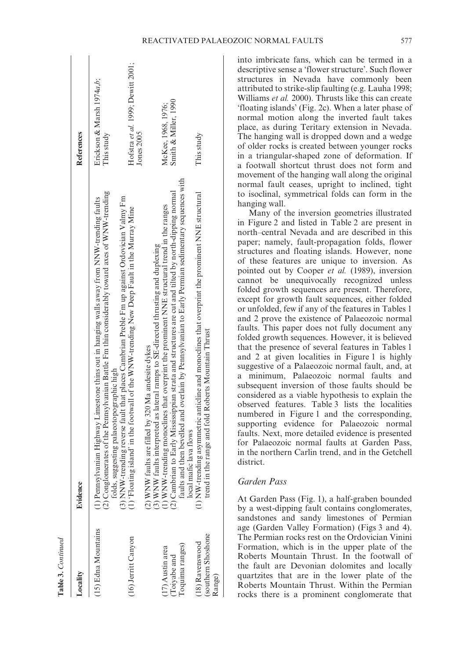| ocality.                                               | Evidence                                                                                                                                                                                                                                                                                                                             | References                                      |
|--------------------------------------------------------|--------------------------------------------------------------------------------------------------------------------------------------------------------------------------------------------------------------------------------------------------------------------------------------------------------------------------------------|-------------------------------------------------|
| 15) Edna Mountains                                     | (2) Conglomerates of the Pennsylvanian Battle Fm thin considerably toward axes of WNW-trending<br>folds, suggesting palaeotopographic high<br>(3) NNW-trending reverse fault that places Cambrian Preble Fm up against Ordovician Va<br>(1) Pennsylvanian Highway Limestone thins out in hanging walls away from NNW-trending faults | Erickson & Marsh 1974a.b.<br>This study         |
| 16) Jerritt Canyon                                     | 1) 'Floating island' in the footwall of the WNW-trending New Deep Fault in the Murray Mine                                                                                                                                                                                                                                           | Hofstra et al. 1999; Dewitt 2001;<br>Jones 2005 |
| oquima ranges)<br>$(17)$ Austin area<br>$(Toiyabe$ and | (3) WNW faults interpreted as lateral ramps to SE-directed thrusting and duplexing<br>(1) WNW-trending monoclines that overprint the prominent NNE structural trend in the ranges<br>(2) Cambrian to Early Mississippian strata and<br>2) WNW faults are filled by 320 Ma andesite dykes                                             | Smith & Miller, 1990<br>McKee, 1968, 1976;      |
| southern Shoshone<br>18) Ravenswood<br>Range)          | $(1)$ NW-trending asymmetric anticline and monoclines that overprint the prominent NNE structural<br>rend in the range and fold Roberts Mountain Thrust<br>local mafic lava flows                                                                                                                                                    | This study                                      |

**Table 3.**

*Continued*

into imbricate fans, which can be termed in a descriptive sense a 'flower structure'. Such flower structures in Nevada have commonly been attributed to strike-slip faulting (e.g. Lauha 1998; Williams *et al.* 2000). Thrusts like this can create 'floating islands' (Fig. 2c). When a later phase of normal motion along the inverted fault takes place, as during Teritary extension in Nevada. The hanging wall is dropped down and a wedge of older rocks is created between younger rocks in a triangular-shaped zone of deformation. If a footwall shortcut thrust does not form and movement of the hanging wall along the original normal fault ceases, upright to inclined, tight to isoclinal, symmetrical folds can form in the hanging wall.

Many of the inversion geometries illustrated in Figure 2 and listed in Table 2 are present in north–central Nevada and are described in this paper; namely, fault-propagation folds, flower structures and floating islands. However, none of these features are unique to inversion. As pointed out by Cooper *et al.* (1989), inversion cannot be unequivocally recognized unless folded growth sequences are present. Therefore, except for growth fault sequences, either folded or unfolded, few if any of the features in Tables 1 and 2 prove the existence of Palaeozoic normal faults. This paper does not fully document any folded growth sequences. However, it is believed that the presence of several features in Tables 1 and 2 at given localities in Figure 1 is highly suggestive of a Palaeozoic normal fault, and, at a minimum, Palaeozoic normal faults and subsequent inversion of those faults should be considered as a viable hypothesis to explain the observed features. Table 3 lists the localities numbered in Figure 1 and the corresponding, supporting evidence for Palaeozoic normal faults. Next, more detailed evidence is presented for Palaeozoic normal faults at Garden Pass, in the northern Carlin trend, and in the Getchell district.

## *Garden Pass*

At Garden Pass (Fig. 1), a half-graben bounded by a west-dipping fault contains conglomerates, sandstones and sandy limestones of Permian age (Garden Valley Formation) (Figs 3 and 4). The Permian rocks rest on the Ordovician Vinini Formation, which is in the upper plate of the Roberts Mountain Thrust. In the footwall of the fault are Devonian dolomites and locally quartzites that are in the lower plate of the Roberts Mountain Thrust. Within the Permian rocks there is a prominent conglomerate that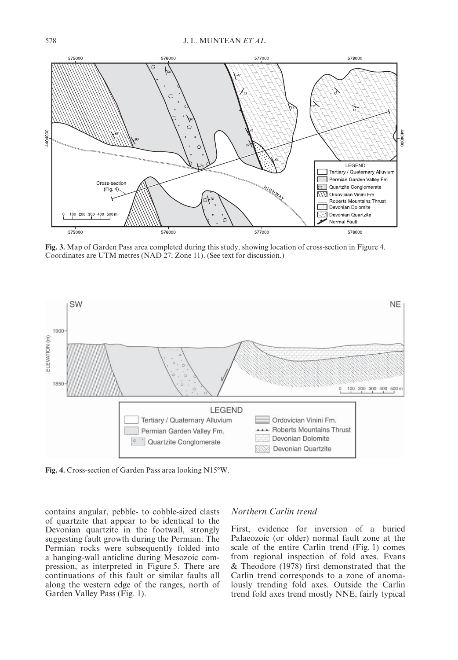

**Fig. 3.** Map of Garden Pass area completed during this study, showing location of cross-section in Figure 4. Coordinates are UTM metres (NAD 27, Zone 11). (See text for discussion.)



**Fig. 4.** Cross-section of Garden Pass area looking N15°W.

contains angular, pebble- to cobble-sized clasts of quartzite that appear to be identical to the Devonian quartzite in the footwall, strongly suggesting fault growth during the Permian. The Permian rocks were subsequently folded into a hanging-wall anticline during Mesozoic compression, as interpreted in Figure 5. There are continuations of this fault or similar faults all along the western edge of the ranges, north of Garden Valley Pass (Fig. 1).

#### *Northern Carlin trend*

First, evidence for inversion of a buried Palaeozoic (or older) normal fault zone at the scale of the entire Carlin trend (Fig. 1) comes from regional inspection of fold axes. Evans & Theodore (1978) first demonstrated that the Carlin trend corresponds to a zone of anomalously trending fold axes. Outside the Carlin trend fold axes trend mostly NNE, fairly typical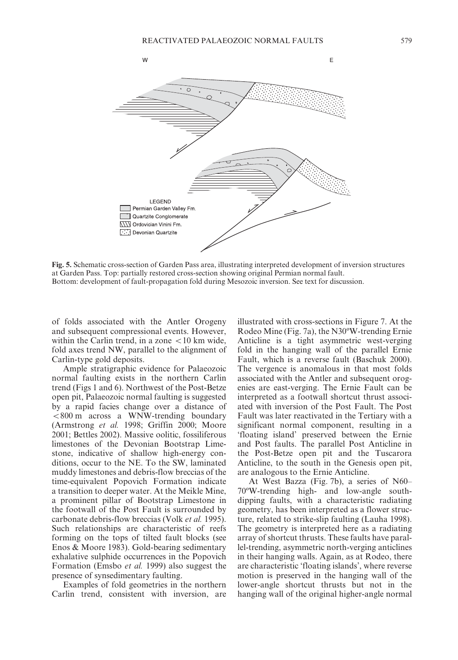

**Fig. 5.** Schematic cross-section of Garden Pass area, illustrating interpreted development of inversion structures at Garden Pass. Top: partially restored cross-section showing original Permian normal fault. Bottom: development of fault-propagation fold during Mesozoic inversion. See text for discussion.

of folds associated with the Antler Orogeny and subsequent compressional events. However, within the Carlin trend, in a zone  $\lt 10$  km wide, fold axes trend NW, parallel to the alignment of Carlin-type gold deposits.

Ample stratigraphic evidence for Palaeozoic normal faulting exists in the northern Carlin trend (Figs 1 and 6). Northwest of the Post-Betze open pit, Palaeozoic normal faulting is suggested by a rapid facies change over a distance of <800 m across a WNW-trending boundary (Armstrong *et al.* 1998; Griffin 2000; Moore 2001; Bettles 2002). Massive oolitic, fossiliferous limestones of the Devonian Bootstrap Limestone, indicative of shallow high-energy conditions, occur to the NE. To the SW, laminated muddy limestones and debris-flow breccias of the time-equivalent Popovich Formation indicate a transition to deeper water. At the Meikle Mine, a prominent pillar of Bootstrap Limestone in the footwall of the Post Fault is surrounded by carbonate debris-flow breccias (Volk *et al.* 1995). Such relationships are characteristic of reefs forming on the tops of tilted fault blocks (see Enos & Moore 1983). Gold-bearing sedimentary exhalative sulphide occurrences in the Popovich Formation (Emsbo *et al.* 1999) also suggest the presence of synsedimentary faulting.

Examples of fold geometries in the northern Carlin trend, consistent with inversion, are

illustrated with cross-sections in Figure 7. At the Rodeo Mine (Fig. 7a), the N30ºW-trending Ernie Anticline is a tight asymmetric west-verging fold in the hanging wall of the parallel Ernie Fault, which is a reverse fault (Baschuk 2000). The vergence is anomalous in that most folds associated with the Antler and subsequent orogenies are east-verging. The Ernie Fault can be interpreted as a footwall shortcut thrust associated with inversion of the Post Fault. The Post Fault was later reactivated in the Tertiary with a significant normal component, resulting in a 'floating island' preserved between the Ernie and Post faults. The parallel Post Anticline in the Post-Betze open pit and the Tuscarora Anticline, to the south in the Genesis open pit, are analogous to the Ernie Anticline.

At West Bazza (Fig. 7b), a series of N60– 70ºW-trending high- and low-angle southdipping faults, with a characteristic radiating geometry, has been interpreted as a flower structure, related to strike-slip faulting (Lauha 1998). The geometry is interpreted here as a radiating array of shortcut thrusts. These faults have parallel-trending, asymmetric north-verging anticlines in their hanging walls. Again, as at Rodeo, there are characteristic 'floating islands', where reverse motion is preserved in the hanging wall of the lower-angle shortcut thrusts but not in the hanging wall of the original higher-angle normal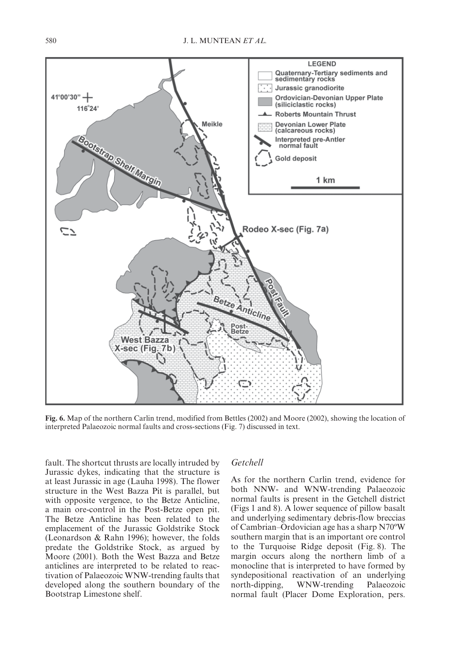

**Fig. 6.** Map of the northern Carlin trend, modified from Bettles (2002) and Moore (2002), showing the location of interpreted Palaeozoic normal faults and cross-sections (Fig. 7) discussed in text.

fault. The shortcut thrusts are locally intruded by Jurassic dykes, indicating that the structure is at least Jurassic in age (Lauha 1998). The flower structure in the West Bazza Pit is parallel, but with opposite vergence, to the Betze Anticline, a main ore-control in the Post-Betze open pit. The Betze Anticline has been related to the emplacement of the Jurassic Goldstrike Stock (Leonardson & Rahn 1996); however, the folds predate the Goldstrike Stock, as argued by Moore (2001). Both the West Bazza and Betze anticlines are interpreted to be related to reactivation of Palaeozoic WNW-trending faults that developed along the southern boundary of the Bootstrap Limestone shelf.

#### *Getchell*

As for the northern Carlin trend, evidence for both NNW- and WNW-trending Palaeozoic normal faults is present in the Getchell district (Figs 1 and 8). A lower sequence of pillow basalt and underlying sedimentary debris-flow breccias of Cambrian–Ordovician age has a sharp N70ºW southern margin that is an important ore control to the Turquoise Ridge deposit (Fig. 8). The margin occurs along the northern limb of a monocline that is interpreted to have formed by syndepositional reactivation of an underlying north-dipping, WNW-trending Palaeozoic normal fault (Placer Dome Exploration, pers.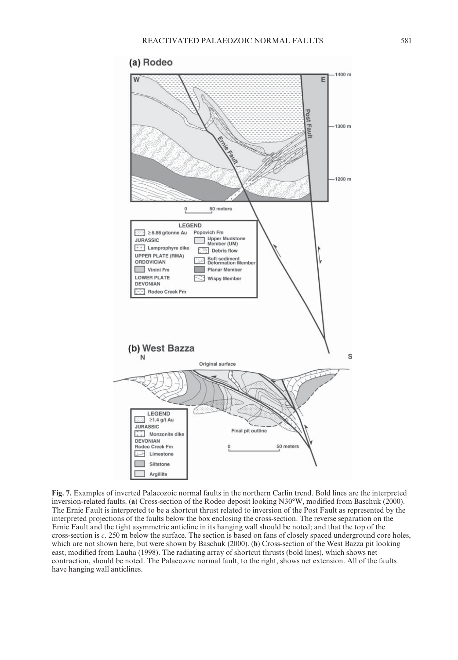

**Fig. 7.** Examples of inverted Palaeozoic normal faults in the northern Carlin trend. Bold lines are the interpreted inversion-related faults. (**a**) Cross-section of the Rodeo deposit looking N30°W, modified from Baschuk (2000). The Ernie Fault is interpreted to be a shortcut thrust related to inversion of the Post Fault as represented by the interpreted projections of the faults below the box enclosing the cross-section. The reverse separation on the Ernie Fault and the tight asymmetric anticline in its hanging wall should be noted; and that the top of the cross-section is *c*. 250 m below the surface. The section is based on fans of closely spaced underground core holes, which are not shown here, but were shown by Baschuk (2000). (**b**) Cross-section of the West Bazza pit looking east, modified from Lauha (1998). The radiating array of shortcut thrusts (bold lines), which shows net contraction, should be noted. The Palaeozoic normal fault, to the right, shows net extension. All of the faults have hanging wall anticlines.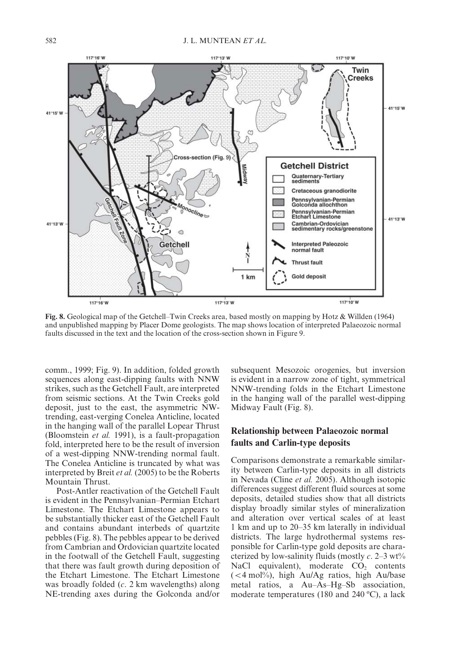

**Fig. 8.** Geological map of the Getchell–Twin Creeks area, based mostly on mapping by Hotz & Willden (1964) and unpublished mapping by Placer Dome geologists. The map shows location of interpreted Palaeozoic normal faults discussed in the text and the location of the cross-section shown in Figure 9.

comm., 1999; Fig. 9). In addition, folded growth sequences along east-dipping faults with NNW strikes, such as the Getchell Fault, are interpreted from seismic sections. At the Twin Creeks gold deposit, just to the east, the asymmetric NWtrending, east-verging Conelea Anticline, located in the hanging wall of the parallel Lopear Thrust (Bloomstein *et al.* 1991), is a fault-propagation fold, interpreted here to be the result of inversion of a west-dipping NNW-trending normal fault. The Conelea Anticline is truncated by what was interpreted by Breit *et al.* (2005) to be the Roberts Mountain Thrust.

Post-Antler reactivation of the Getchell Fault is evident in the Pennsylvanian–Permian Etchart Limestone. The Etchart Limestone appears to be substantially thicker east of the Getchell Fault and contains abundant interbeds of quartzite pebbles (Fig. 8). The pebbles appear to be derived from Cambrian and Ordovician quartzite located in the footwall of the Getchell Fault, suggesting that there was fault growth during deposition of the Etchart Limestone. The Etchart Limestone was broadly folded (*c*. 2 km wavelengths) along NE-trending axes during the Golconda and/or

subsequent Mesozoic orogenies, but inversion is evident in a narrow zone of tight, symmetrical NNW-trending folds in the Etchart Limestone in the hanging wall of the parallel west-dipping Midway Fault (Fig. 8).

### **Relationship between Palaeozoic normal faults and Carlin-type deposits**

Comparisons demonstrate a remarkable similarity between Carlin-type deposits in all districts in Nevada (Cline *et al.* 2005). Although isotopic differences suggest different fluid sources at some deposits, detailed studies show that all districts display broadly similar styles of mineralization and alteration over vertical scales of at least 1 km and up to 20–35 km laterally in individual districts. The large hydrothermal systems responsible for Carlin-type gold deposits are characterized by low-salinity fluids (mostly  $c$ , 2–3 wt $\%$ NaCl equivalent), moderate  $CO<sub>2</sub>$  contents  $(<$  4 mol%), high Au/Ag ratios, high Au/base metal ratios, a Au–As–Hg–Sb association, moderate temperatures (180 and 240 ºC), a lack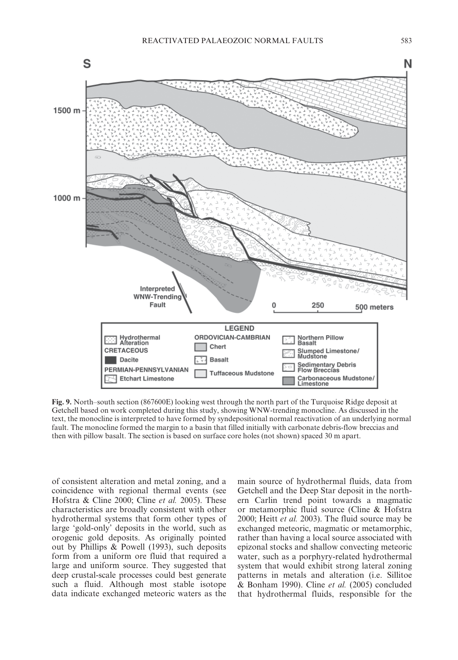

**Fig. 9.** North–south section (867600E) looking west through the north part of the Turquoise Ridge deposit at Getchell based on work completed during this study, showing WNW-trending monocline. As discussed in the text, the monocline is interpreted to have formed by syndepositional normal reactivation of an underlying normal fault. The monocline formed the margin to a basin that filled initially with carbonate debris-flow breccias and then with pillow basalt. The section is based on surface core holes (not shown) spaced 30 m apart.

of consistent alteration and metal zoning, and a coincidence with regional thermal events (see Hofstra & Cline 2000; Cline *et al.* 2005). These characteristics are broadly consistent with other hydrothermal systems that form other types of large 'gold-only' deposits in the world, such as orogenic gold deposits. As originally pointed out by Phillips & Powell (1993), such deposits form from a uniform ore fluid that required a large and uniform source. They suggested that deep crustal-scale processes could best generate such a fluid. Although most stable isotope data indicate exchanged meteoric waters as the

main source of hydrothermal fluids, data from Getchell and the Deep Star deposit in the northern Carlin trend point towards a magmatic or metamorphic fluid source (Cline & Hofstra 2000; Heitt *et al.* 2003). The fluid source may be exchanged meteoric, magmatic or metamorphic, rather than having a local source associated with epizonal stocks and shallow convecting meteoric water, such as a porphyry-related hydrothermal system that would exhibit strong lateral zoning patterns in metals and alteration (i.e. Sillitoe & Bonham 1990). Cline *et al.* (2005) concluded that hydrothermal fluids, responsible for the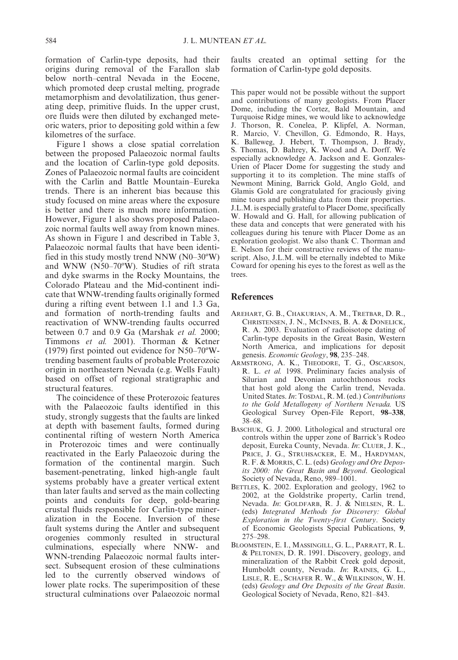formation of Carlin-type deposits, had their origins during removal of the Farallon slab below north–central Nevada in the Eocene, which promoted deep crustal melting, prograde metamorphism and devolatilization, thus generating deep, primitive fluids. In the upper crust, ore fluids were then diluted by exchanged meteoric waters, prior to depositing gold within a few kilometres of the surface.

Figure 1 shows a close spatial correlation between the proposed Palaeozoic normal faults and the location of Carlin-type gold deposits. Zones of Palaeozoic normal faults are coincident with the Carlin and Battle Mountain–Eureka trends. There is an inherent bias because this study focused on mine areas where the exposure is better and there is much more information. However, Figure 1 also shows proposed Palaeozoic normal faults well away from known mines. As shown in Figure 1 and described in Table 3, Palaeozoic normal faults that have been identified in this study mostly trend NNW (N0–30ºW) and WNW (N50–70ºW). Studies of rift strata and dyke swarms in the Rocky Mountains, the Colorado Plateau and the Mid-continent indicate that WNW-trending faults originally formed during a rifting event between 1.1 and 1.3 Ga, and formation of north-trending faults and reactivation of WNW-trending faults occurred between 0.7 and 0.9 Ga (Marshak *et al.* 2000; Timmons *et al.* 2001). Thorman & Ketner (1979) first pointed out evidence for N50–70ºWtrending basement faults of probable Proterozoic origin in northeastern Nevada (e.g. Wells Fault) based on offset of regional stratigraphic and structural features.

The coincidence of these Proterozoic features with the Palaeozoic faults identified in this study, strongly suggests that the faults are linked at depth with basement faults, formed during continental rifting of western North America in Proterozoic times and were continually reactivated in the Early Palaeozoic during the formation of the continental margin. Such basement-penetrating, linked high-angle fault systems probably have a greater vertical extent than later faults and served as the main collecting points and conduits for deep, gold-bearing crustal fluids responsible for Carlin-type mineralization in the Eocene. Inversion of these fault systems during the Antler and subsequent orogenies commonly resulted in structural culminations, especially where NNW- and WNN-trending Palaeozoic normal faults intersect. Subsequent erosion of these culminations led to the currently observed windows of lower plate rocks. The superimposition of these structural culminations over Palaeozoic normal

faults created an optimal setting for the formation of Carlin-type gold deposits.

This paper would not be possible without the support and contributions of many geologists. From Placer Dome, including the Cortez, Bald Mountain, and Turquoise Ridge mines, we would like to acknowledge J. Thorson, R. Conelea, P. Klipfel, A. Norman, R. Marcio, V. Chevillon, G. Edmondo, R. Hays, K. Balleweg, J. Hebert, T. Thompson, J. Brady, S. Thomas, D. Bahrey, K. Wood and A. Dorff. We especially acknowledge A. Jackson and E. Gonzales-Urien of Placer Dome for suggesting the study and supporting it to its completion. The mine staffs of Newmont Mining, Barrick Gold, Anglo Gold, and Glamis Gold are congratulated for graciously giving mine tours and publishing data from their properties. J.L.M. is especially grateful to Placer Dome, specifically W. Howald and G. Hall, for allowing publication of these data and concepts that were generated with his colleagues during his tenure with Placer Dome as an exploration geologist. We also thank C. Thorman and E. Nelson for their constructive reviews of the manuscript. Also, J.L.M. will be eternally indebted to Mike Coward for opening his eyes to the forest as well as the trees.

#### **References**

- AREHART, G. B., CHAKURIAN, A. M., TRETBAR, D. R., CHRISTENSEN, J. N., MCINNES, B. A. & DONELICK, R. A. 2003. Evaluation of radioisotope dating of Carlin-type deposits in the Great Basin, Western North America, and implications for deposit genesis. *Economic Geology*, **98**, 235–248.
- ARMSTRONG, A. K., THEODORE, T. G., OSCARSON, R. L. *et al.* 1998. Preliminary facies analysis of Silurian and Devonian autochthonous rocks that host gold along the Carlin trend, Nevada. United States. *In*: TOSDAL, R. M. (ed.) *Contributions to the Gold Metallogeny of Northern Nevada.* US Geological Survey Open-File Report, **98–338**, 38–68.
- BASCHUK, G. J. 2000. Lithological and structural ore controls within the upper zone of Barrick's Rodeo deposit, Eureka County, Nevada. *In*: CLUER, J. K., PRICE, J. G., STRUHSACKER, E. M., HARDYMAN, R. F. & MORRIS, C. L. (eds) *Geology and Ore Deposits 2000: the Great Basin and Beyond*. Geological Society of Nevada, Reno, 989–1001.
- BETTLES, K. 2002. Exploration and geology, 1962 to 2002, at the Goldstrike property, Carlin trend, Nevada. *In*: GOLDFARB, R. J. & NIELSEN, R. L. (eds) *Integrated Methods for Discovery: Global Exploration in the Twenty-first Century*. Society of Economic Geologists Special Publications, **9**, 275–298.
- BLOOMSTEIN, E. I., MASSINGILL, G. L., PARRATT, R. L. & PELTONEN, D. R. 1991. Discovery, geology, and mineralization of the Rabbit Creek gold deposit, Humboldt county, Nevada. *In*: RAINES, G. L., LISLE, R. E., SCHAFER R. W., & WILKINSON, W. H. (eds) *Geology and Ore Deposits of the Great Basin*. Geological Society of Nevada, Reno, 821–843.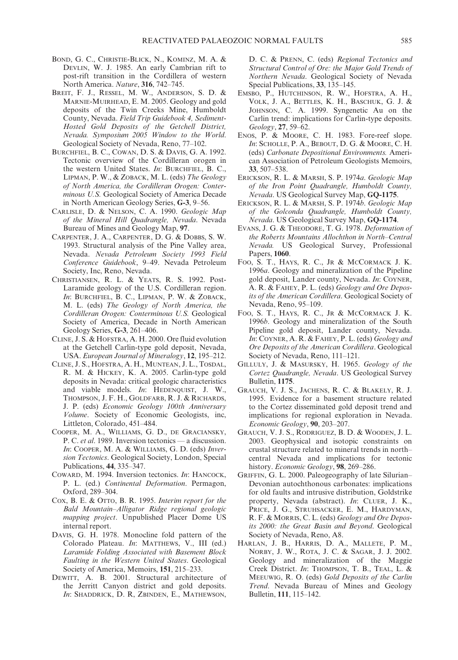- BOND, G. C., CHRISTIE-BLICK, N., KOMINZ, M. A. & DEVLIN, W. J. 1985. An early Cambrian rift to post-rift transition in the Cordillera of western North America. *Nature*, **316**, 742–745.
- BREIT, F. J., RESSEL, M. W., ANDERSON, S. D. & MARNIE-MUIRHEAD, E. M. 2005. Geology and gold deposits of the Twin Creeks Mine, Humboldt County, Nevada. *Field Trip Guidebook 4, Sediment-Hosted Gold Deposits of the Getchell District, Nevada. Symposium 2005 Window to the World*. Geological Society of Nevada, Reno, 77–102.
- BURCHFIEL, B. C., COWAN, D. S. & DAVIS, G. A. 1992. Tectonic overview of the Cordilleran orogen in the western United States. *In*: BURCHFIEL, B. C., LIPMAN, P. W., & ZOBACK, M. L. (eds) *The Geology of North America, the Cordilleran Orogen: Conterminous U.S.* Geological Society of America Decade in North American Geology Series, **G-3**, 9–56.
- CARLISLE, D. & NELSON, C. A. 1990. *Geologic Map of the Mineral Hill Quadrangle, Nevada*. Nevada Bureau of Mines and Geology Map, **97**.
- CARPENTER, J. A., CARPENTER, D. G. & DOBBS, S. W. 1993. Structural analysis of the Pine Valley area, Nevada. *Nevada Petroleum Society 1993 Field Conference Guidebook*, 9–49. Nevada Petroleum Society, Inc, Reno, Nevada.
- CHRISTIANSEN, R. L. & YEATS, R. S. 1992. Post-Laramide geology of the U.S. Cordilleran region. *In*: BURCHFIEL, B. C., LIPMAN, P. W. & ZOBACK, M. L. (eds) *The Geology of North America, the Cordilleran Orogen: Conterminous U.S.* Geological Society of America, Decade in North American Geology Series, **G-3**, 261–406.
- CLINE, J. S. & HOFSTRA, A. H. 2000. Ore fluid evolution at the Getchell Carlin-type gold deposit, Nevada, USA. *European Journal of Mineralogy*, **12**, 195–212.
- CLINE, J. S., HOFSTRA, A. H., MUNTEAN, J. L., TOSDAL, R. M. & HICKEY, K. A. 2005. Carlin-type gold deposits in Nevada: critical geologic characteristics and viable models. *In*: HEDENQUIST, J. W., THOMPSON, J. F. H., GOLDFARB, R. J. & RICHARDS, J. P. (eds) *Economic Geology 100th Anniversary Volume*. Society of Economic Geologists, inc, Littleton, Colorado, 451–484.
- COOPER, M. A., WILLIAMS, G. D., DE GRACIANSKY, P. C. *et al*. 1989. Inversion tectonics — a discussion. *In*: COOPER, M. A. & WILLIAMS, G. D. (eds) *Inversion Tectonics*. Geological Society, London, Special Publications, **44**, 335–347.
- COWARD, M. 1994. Inversion tectonics. *In*: HANCOCK, P. L. (ed.) *Continental Deformation*. Permagon, Oxford, 289–304.
- COX, B. E. & OTTO, B. R. 1995. *Interim report for the Bald Mountain–Alligator Ridge regional geologic mapping project*. Unpublished Placer Dome US internal report.
- DAVIS, G. H. 1978. Monocline fold pattern of the Colorado Plateau. *In*: MATTHEWS, V., III (ed.) *Laramide Folding Associated with Basement Block Faulting in the Western United States*. Geological Society of America, Memoirs, **151**, 215–233.
- DEWITT, A. B. 2001. Structural architecture of the Jerritt Canyon district and gold deposits. *In*: SHADDRICK, D. R, ZBINDEN, E., MATHEWSON,

D. C. & PRENN, C. (eds) *Regional Tectonics and Structural Control of Ore: the Major Gold Trends of Northern Nevada*. Geological Society of Nevada Special Publications, **33**, 135–145.

- EMSBO, P., HUTCHINSON, R. W., HOFSTRA, A. H., VOLK, J. A., BETTLES, K. H., BASCHUK, G. J. & JOHNSON, C. A. 1999. Syngenetic Au on the Carlin trend: implications for Carlin-type deposits. *Geology*, **27**, 59–62.
- ENOS, P. & MOORE, C. H. 1983. Fore-reef slope. *In*: SCHOLLE, P. A., BEBOUT, D. G. & MOORE, C. H. (eds) *Carbonate Depositional Environments.* American Association of Petroleum Geologists Memoirs, **33**, 507–538.
- ERICKSON, R. L. & MARSH, S. P. 1974*a*. *Geologic Map of the Iron Point Quadrangle, Humboldt County, Nevada*. US Geological Survey Map, **GQ-1175**.
- ERICKSON, R. L. & MARSH, S. P. 1974*b*. *Geologic Map of the Golconda Quadrangle, Humboldt County, Nevada*. US Geological Survey Map, **GQ-1174**.
- EVANS, J. G. & THEODORE, T. G. 1978. *Deformation of the Roberts Mountains Allochthon in North–Central Nevada.* US Geological Survey, Professional Papers, **1060**.
- FOO, S. T., HAYS, R. C., JR & MCCORMACK J. K. 1996*a*. Geology and mineralization of the Pipeline gold deposit, Lander county, Nevada. *In*: COYNER, A. R. & FAHEY, P. L. (eds) *Geology and Ore Deposits of the American Cordillera*. Geological Society of Nevada, Reno, 95–109.
- FOO, S. T., HAYS, R. C., JR & MCCORMACK J. K. 1996*b*. Geology and mineralization of the South Pipeline gold deposit, Lander county, Nevada. *In*: COYNER, A. R. & FAHEY, P. L. (eds) *Geology and Ore Deposits of the American Cordillera*. Geological Society of Nevada, Reno, 111–121.
- GILLULY, J. & MASURSKY, H. 1965. *Geology of the Cortez Quadrangle, Nevada*. US Geological Survey Bulletin, **1175**.
- GRAUCH, V. J. S., JACHENS, R. C. & BLAKELY, R. J. 1995. Evidence for a basement structure related to the Cortez disseminated gold deposit trend and implications for regional exploration in Nevada. *Economic Geology*, **90**, 203–207.
- GRAUCH, V. J. S., RODRIGUEZ, B. D. & WOODEN, J. L. 2003. Geophysical and isotopic constraints on crustal structure related to mineral trends in north– central Nevada and implications for tectonic history. *Economic Geology*, **98**, 269–286.
- GRIFFIN, G. L. 2000. Paleogeography of late Silurian– Devonian autochthonous carbonates: implications for old faults and intrusive distribution, Goldstrike property, Nevada (abstract). *In*: CLUER, J. K., PRICE, J. G., STRUHSACKER, E. M., HARDYMAN, R. F. & MORRIS, C. L. (eds) *Geology and Ore Deposits 2000: the Great Basin and Beyond*. Geological Society of Nevada, Reno, A8.
- HARLAN, J. B., HARRIS, D. A., MALLETE, P. M., NORBY, J. W., ROTA, J. C. & SAGAR, J. J. 2002. Geology and mineralization of the Maggie Creek District. *In*: THOMPSON, T. B., TEAL, L. & MEEUWIG, R. O. (eds) *Gold Deposits of the Carlin Trend*. Nevada Bureau of Mines and Geology Bulletin, **111**, 115–142.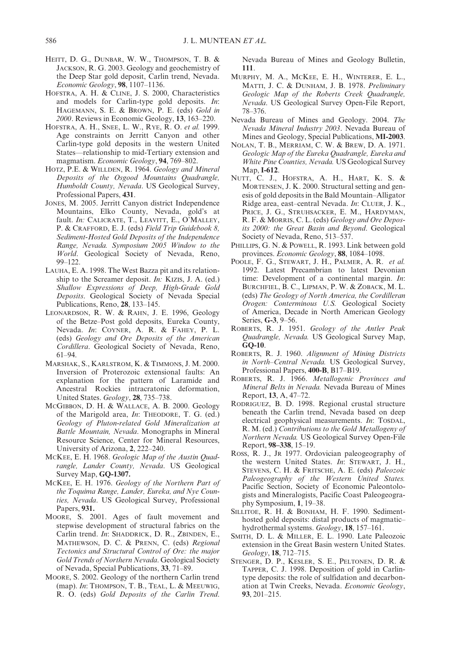- HEITT, D. G., DUNBAR, W. W., THOMPSON, T. B. & JACKSON, R. G. 2003. Geology and geochemistry of the Deep Star gold deposit, Carlin trend, Nevada. *Economic Geology*, **98**, 1107–1136.
- HOFSTRA, A. H. & CLINE, J. S. 2000, Characteristics and models for Carlin-type gold deposits. *In*: HAGEMANN, S. E. & BROWN, P. E. (eds) *Gold in 2000*. Reviews in Economic Geology, **13**, 163–220.
- HOFSTRA, A. H., SNEE, L. W., RYE, R. O. *et al.* 1999. Age constraints on Jerritt Canyon and other Carlin-type gold deposits in the western United States—relationship to mid-Tertiary extension and magmatism. *Economic Geology*, **94**, 769–802.
- HOTZ, P.E. & WILLDEN, R. 1964. *Geology and Mineral Deposits of the Osgood Mountains Quadrangle, Humboldt County, Nevada*. US Geological Survey, Professional Papers, **431**.
- JONES, M. 2005. Jerritt Canyon district Independence Mountains, Elko County, Nevada, gold's at fault. *In:* CALICRATE, T., LEAVITT, E., O'MALLEY, P. & CRAFFORD, E. J. (eds) *Field Trip Guidebook 8, Sediment-Hosted Gold Deposits of the Independence Range, Nevada. Symposium 2005 Window to the World*. Geological Society of Nevada, Reno, 99–122.
- LAUHA, E. A. 1998. The West Bazza pit and its relationship to the Screamer deposit. *In:* KIZIS, J. A. (ed.) *Shallow Expressions of Deep, High-Grade Gold Deposits*. Geological Society of Nevada Special Publications, Reno, **28**, 133–145.
- LEONARDSON, R. W. & RAHN, J. E. 1996, Geology of the Betze–Post gold deposits, Eureka County, Nevada. *In*: COYNER, A. R. & FAHEY, P. L. (eds) *Geology and Ore Deposits of the American Cordillera*. Geological Society of Nevada, Reno, 61–94.
- MARSHAK, S., KARLSTROM, K. & TIMMONS, J. M. 2000. Inversion of Proterozoic extensional faults: An explanation for the pattern of Laramide and Ancestral Rockies intracratonic deformation, United States. *Geology*, **28**, 735–738.
- MCGIBBON, D. H. & WALLACE, A. B. 2000. Geology of the Marigold area, *In*: THEODORE, T. G. (ed.) *Geology of Pluton-related Gold Mineralization at Battle Mountain, Nevada*. Monographs in Mineral Resource Science, Center for Mineral Resources, University of Arizona, **2**, 222–240.
- MCKEE, E. H. 1968. *Geologic Map of the Austin Quadrangle, Lander County, Nevada*. US Geological Survey Map, **GQ-1307.**
- MCKEE, E. H. 1976. *Geology of the Northern Part of the Toquima Range, Lander, Eureka, and Nye Counties, Nevada*. US Geological Survey, Professional Papers, **931.**
- MOORE, S. 2001. Ages of fault movement and stepwise development of structural fabrics on the Carlin trend. *In*: SHADDRICK, D. R., ZBINDEN, E., MATHEWSON, D. C. & PRENN, C. (eds) *Regional Tectonics and Structural Control of Ore: the major Gold Trends of Northern Nevada*. Geological Society of Nevada, Special Publications, **33**, 71–89.
- MOORE, S. 2002. Geology of the northern Carlin trend (map). *In*: THOMPSON, T. B., TEAL, L. & MEEUWIG, R. O. (eds) *Gold Deposits of the Carlin Trend*.

Nevada Bureau of Mines and Geology Bulletin, **111**.

- MURPHY, M. A., MCKEE, E. H., WINTERER, E. L., MATTI, J. C. & DUNHAM, J. B. 1978. *Preliminary Geologic Map of the Roberts Creek Quadrangle, Nevada*. US Geological Survey Open-File Report, 78–376.
- Nevada Bureau of Mines and Geology. 2004. *The Nevada Mineral Industry 2003*. Nevada Bureau of Mines and Geology, Special Publications, **MI-2003**.
- NOLAN, T. B., MERRIAM, C. W. & BREW, D. A. 1971. *Geologic Map of the Eureka Quadrangle, Eureka and White Pine Counties, Nevada.* US Geological Survey Map, **I-612**.
- NUTT, C. J., HOFSTRA, A. H., HART, K. S. & MORTENSEN, J. K. 2000. Structural setting and genesis of gold deposits in the Bald Mountain–Alligator Ridge area, east–central Nevada. *In*: CLUER, J. K., PRICE, J. G., STRUHSACKER, E. M., HARDYMAN, R. F. & MORRIS, C. L. (eds) *Geology and Ore Deposits 2000: the Great Basin and Beyond*. Geological Society of Nevada, Reno, 513–537.
- PHILLIPS, G. N. & POWELL, R. 1993. Link between gold provinces. *Economic Geology*, **88**, 1084–1098.
- POOLE, F. G., STEWART, J. H., PALMER, A. R. *et al.* 1992. Latest Precambrian to latest Devonian time: Development of a continental margin. *In*: BURCHFIEL, B. C., LIPMAN, P. W. & ZOBACK, M. L. (eds) *The Geology of North America, the Cordilleran Orogen: Conterminous U.S.* Geological Society of America, Decade in North American Geology Series, **G-3**, 9–56.
- ROBERTS, R. J. 1951. *Geology of the Antler Peak Quadrangle, Nevada.* US Geological Survey Map, **GQ-10**.
- ROBERTS, R. J. 1960. *Alignment of Mining Districts in North–Central Nevada.* US Geological Survey, Professional Papers, **400-B**, B17–B19.
- ROBERTS, R. J. 1966. *Metallogenic Provinces and Mineral Belts in Nevada.* Nevada Bureau of Mines Report, **13**, A, 47–72.
- RODRIGUEZ, B. D. 1998. Regional crustal structure beneath the Carlin trend, Nevada based on deep electrical geophysical measurements. *In*: TOSDAL, R. M. (ed.) *Contributions to the Gold Metallogeny of Northern Nevada.* US Geological Survey Open-File Report, **98–338**, 15–19.
- ROSS, R. J., JR 1977. Ordovician paleogeography of the western United States. *In*: STEWART, J. H., STEVENS, C. H. & FRITSCHE, A. E. (eds) *Paleozoic Paleogeography of the Western United States.* Pacific Section, Society of Economic Paleontologists and Mineralogists, Pacific Coast Paleogeography Symposium, **1**, 19–38.
- SILLITOE, R. H. & BONHAM, H. F. 1990. Sedimenthosted gold deposits: distal products of magmatic– hydrothermal systems. *Geology*, **18**, 157–161.
- SMITH, D. L. & MILLER, E. L. 1990. Late Paleozoic extension in the Great Basin western United States. *Geology*, **18**, 712–715.
- STENGER, D. P., KESLER, S. E., PELTONEN, D. R. & TAPPER, C. J. 1998. Deposition of gold in Carlintype deposits: the role of sulfidation and decarbonation at Twin Creeks, Nevada. *Economic Geology*, **93**, 201–215.